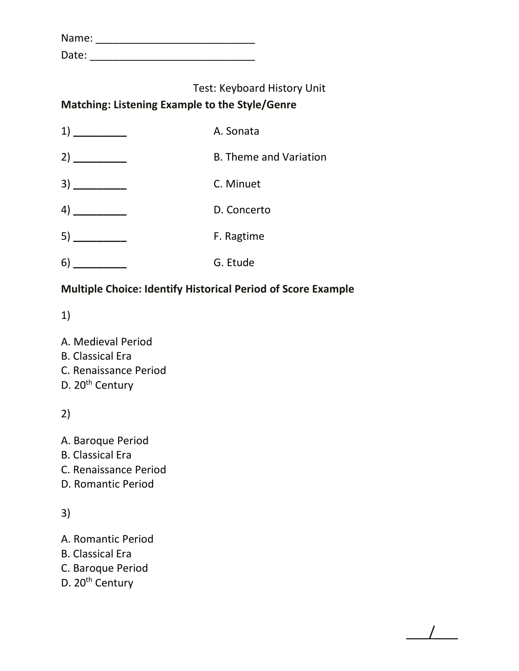| Name: |  |
|-------|--|
| Date: |  |

## **Matching: Listening Example to the Style/Genre**

| 1)                                                                                                                                                                                                                                                                                                                                                                                                                          | A. Sonata                     |
|-----------------------------------------------------------------------------------------------------------------------------------------------------------------------------------------------------------------------------------------------------------------------------------------------------------------------------------------------------------------------------------------------------------------------------|-------------------------------|
| 2)                                                                                                                                                                                                                                                                                                                                                                                                                          | <b>B. Theme and Variation</b> |
|                                                                                                                                                                                                                                                                                                                                                                                                                             | C. Minuet                     |
| 4)<br>$\frac{1}{1-\frac{1}{1-\frac{1}{1-\frac{1}{1-\frac{1}{1-\frac{1}{1-\frac{1}{1-\frac{1}{1-\frac{1}{1-\frac{1}{1-\frac{1}{1-\frac{1}{1-\frac{1}{1-\frac{1}{1-\frac{1}{1-\frac{1}{1-\frac{1}{1-\frac{1}{1-\frac{1}{1-\frac{1}{1-\frac{1}{1-\frac{1}{1-\frac{1}{1-\frac{1}{1-\frac{1}{1-\frac{1}{1-\frac{1}{1-\frac{1}{1-\frac{1}{1-\frac{1}{1-\frac{1}{1-\frac{1}{1-\frac{1}{1-\frac{1}{1-\frac{1}{1-\frac{1}{1-\frac{1$ | D. Concerto                   |
|                                                                                                                                                                                                                                                                                                                                                                                                                             | F. Ragtime                    |
| 6)                                                                                                                                                                                                                                                                                                                                                                                                                          | G. Etude                      |

### **Multiple Choice: Identify Historical Period of Score Example**

 $\overline{\phantom{a}}$ 

1)

- A. Medieval Period
- B. Classical Era
- C. Renaissance Period
- D. 20<sup>th</sup> Century

2)

- A. Baroque Period
- B. Classical Era
- C. Renaissance Period
- D. Romantic Period

3)

- A. Romantic Period
- B. Classical Era
- C. Baroque Period
- D. 20<sup>th</sup> Century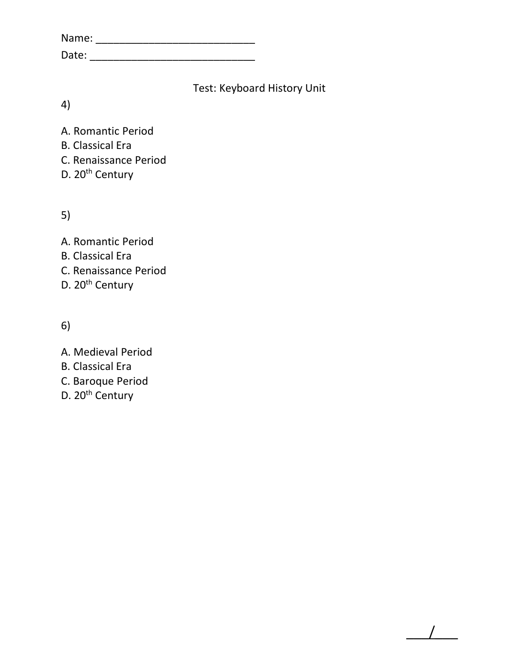| Name: |  |  |  |
|-------|--|--|--|
| Date: |  |  |  |

 $\overline{\phantom{a}}$ 

4)

A. Romantic Period B. Classical Era C. Renaissance Period D. 20<sup>th</sup> Century

5)

A. Romantic Period B. Classical Era C. Renaissance Period D. 20<sup>th</sup> Century

6)

- A. Medieval Period
- B. Classical Era
- C. Baroque Period
- D. 20<sup>th</sup> Century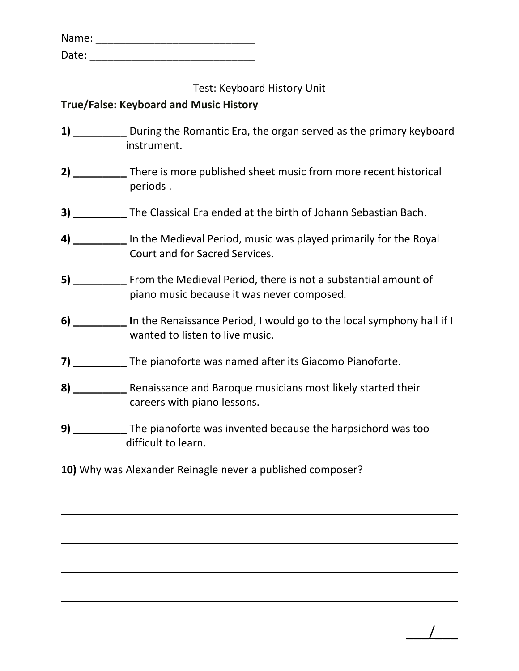| Name: |  |  |  |
|-------|--|--|--|
| Date: |  |  |  |

#### **True/False: Keyboard and Music History**

- **1) \_\_\_\_\_\_\_\_\_** During the Romantic Era, the organ served as the primary keyboard instrument.
- **2) \_\_\_\_\_\_\_\_\_** There is more published sheet music from more recent historical periods .
- **3) \_\_\_\_\_\_\_\_\_** The Classical Era ended at the birth of Johann Sebastian Bach.
- **4) \_\_\_\_\_\_\_\_\_** In the Medieval Period, music was played primarily for the Royal Court and for Sacred Services.
- **5) \_\_\_\_\_\_\_\_\_** From the Medieval Period, there is not a substantial amount of piano music because it was never composed.
- **6)** In the Renaissance Period, I would go to the local symphony hall if I wanted to listen to live music.
- **7) \_\_\_\_\_\_\_\_\_** The pianoforte was named after its Giacomo Pianoforte.
- **8) \_\_\_\_\_\_\_\_\_** Renaissance and Baroque musicians most likely started their careers with piano lessons.
- **9) \_\_\_\_\_\_\_\_\_** The pianoforte was invented because the harpsichord was too difficult to learn.

 $\overline{\phantom{a}}$ 

**10)** Why was Alexander Reinagle never a published composer?